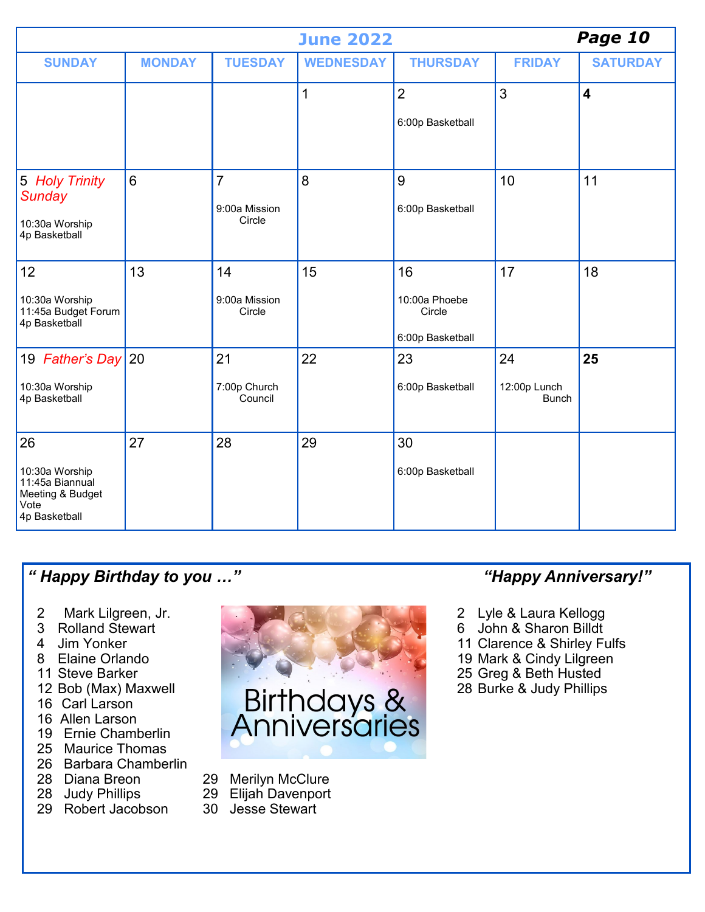|                                                                                      |               | Page 10                                   |                  |                                                   |                                    |                         |
|--------------------------------------------------------------------------------------|---------------|-------------------------------------------|------------------|---------------------------------------------------|------------------------------------|-------------------------|
| <b>SUNDAY</b>                                                                        | <b>MONDAY</b> | <b>TUESDAY</b>                            | <b>WEDNESDAY</b> | <b>THURSDAY</b>                                   | <b>FRIDAY</b>                      | <b>SATURDAY</b>         |
|                                                                                      |               |                                           | 1                | $\overline{2}$<br>6:00p Basketball                | 3                                  | $\overline{\mathbf{4}}$ |
| 5 Holy Trinity<br>Sunday<br>10:30a Worship<br>4p Basketball                          | 6             | $\overline{7}$<br>9:00a Mission<br>Circle | 8                | 9<br>6:00p Basketball                             | 10                                 | 11                      |
| 12<br>10:30a Worship<br>11:45a Budget Forum<br>4p Basketball                         | 13            | 14<br>9:00a Mission<br>Circle             | 15               | 16<br>10:00a Phoebe<br>Circle<br>6:00p Basketball | 17                                 | 18                      |
| 19 Father's Day 20<br>10:30a Worship<br>4p Basketball                                |               | 21<br>7:00p Church<br>Council             | 22               | 23<br>6:00p Basketball                            | 24<br>12:00p Lunch<br><b>Bunch</b> | 25                      |
| 26<br>10:30a Worship<br>11:45a Biannual<br>Meeting & Budget<br>Vote<br>4p Basketball | 27            | 28                                        | 29               | 30<br>6:00p Basketball                            |                                    |                         |

## *" Happy Birthday to you …" "Happy Anniversary!"*

- 2 Mark Lilgreen, Jr.<br>3 Rolland Stewart
- Rolland Stewart
- 4 Jim Yonker
- 8 Elaine Orlando
- 11 Steve Barker
- 12 Bob (Max) Maxwell
- 16 Carl Larson
- 16 Allen Larson
- 19 Ernie Chamberlin
- 25 Maurice Thomas
- 26 Barbara Chamberlin<br>28 Diana Breon
- 
- 28 Judy Phillips 29 Elijah Davenport 29 Elijah Davenport 29 Robert Jacobson 20 Jesse Stewart
- 29 Robert Jacobson



- 29 Merilyn McClure<br>29 Elijah Davenport
	-
- 

- 2 Lyle & Laura Kellogg
- 6 John & Sharon Billdt
- 11 Clarence & Shirley Fulfs
- 19 Mark & Cindy Lilgreen
- 25 Greg & Beth Husted
- 28 Burke & Judy Phillips